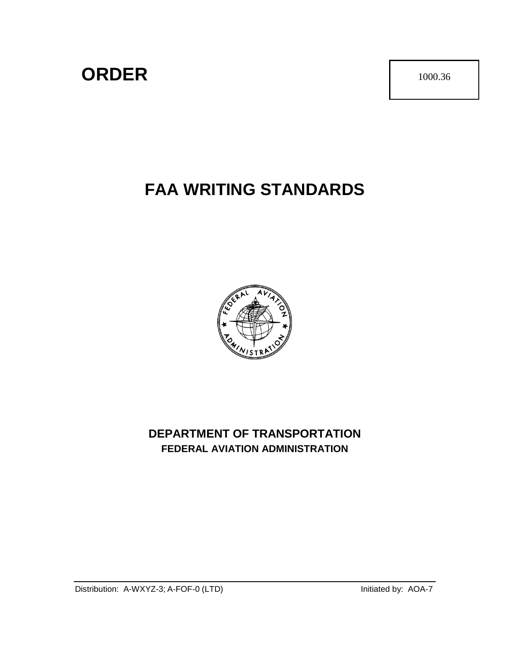# **ORDER** 1000.36

# **FAA WRITING STANDARDS**



## **DEPARTMENT OF TRANSPORTATION FEDERAL AVIATION ADMINISTRATION**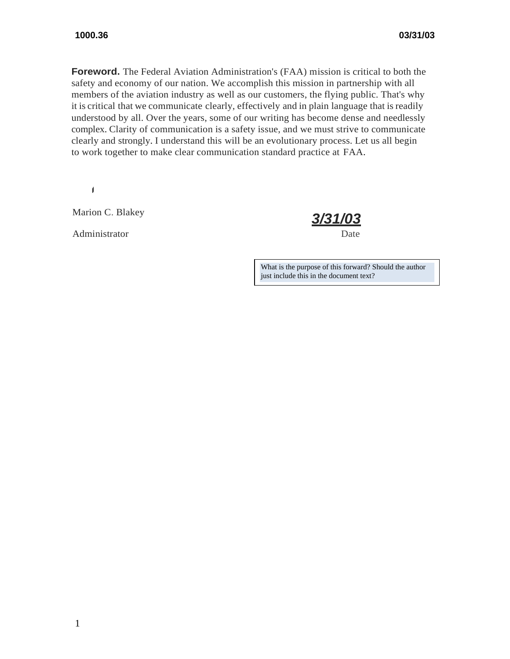to work together to make clear communication standard practice at FAA. **Foreword.** The Federal Aviation Administration's (FAA) mission is critical to both the safety and economy of our nation. We accomplish this mission in partnership with all members of the aviation industry as well as our customers, the flying public. That's why it is critical that we communicate clearly, effectively and in plain language that isreadily understood by all. Over the years, some of our writing has become dense and needlessly complex. Clarity of communication is a safety issue, and we must strive to communicate clearly and strongly. I understand this will be an evolutionary process. Let us all begin

Marion C. Blakey *3/31/03*

Administrator Date

What is the purpose of this forward? Should the author just include this in the document text?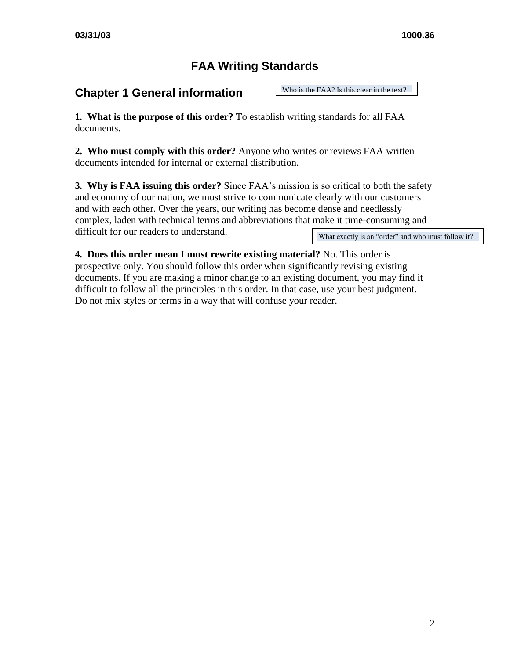## **FAA Writing Standards**

### **Chapter 1 General information**

Who is the FAA? Is this clear in the text?

**1. What is the purpose of this order?** To establish writing standards for all FAA documents.

**2. Who must comply with this order?** Anyone who writes or reviews FAA written documents intended for internal or external distribution.

**3. Why is FAA issuing this order?** Since FAA's mission is so critical to both the safety and economy of our nation, we must strive to communicate clearly with our customers and with each other. Over the years, our writing has become dense and needlessly complex, laden with technical terms and abbreviations that make it time-consuming and difficult for our readers to understand.

What exactly is an "order" and who must follow it?

**4. Does this order mean I must rewrite existing material?** No. This order is prospective only. You should follow this order when significantly revising existing documents. If you are making a minor change to an existing document, you may find it difficult to follow all the principles in this order. In that case, use your best judgment. Do not mix styles or terms in a way that will confuse your reader.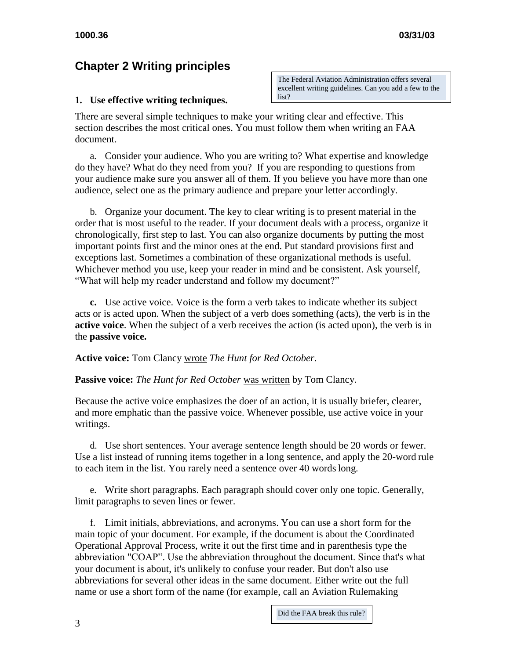## **Chapter 2 Writing principles**

#### **1. Use effective writing techniques.**

The Federal Aviation Administration offers several excellent writing guidelines. Can you add a few to the list?

There are several simple techniques to make your writing clear and effective. This section describes the most critical ones. You must follow them when writing an FAA document.

a. Consider your audience. Who you are writing to? What expertise and knowledge do they have? What do they need from you? If you are responding to questions from your audience make sure you answer all of them. If you believe you have more than one audience, select one as the primary audience and prepare your letter accordingly.

b. Organize your document. The key to clear writing is to present material in the order that is most useful to the reader. If your document deals with a process, organize it chronologically, first step to last. You can also organize documents by putting the most important points first and the minor ones at the end. Put standard provisions first and exceptions last. Sometimes a combination of these organizational methods is useful. Whichever method you use, keep your reader in mind and be consistent. Ask yourself, "What will help my reader understand and follow my document?"

**c.** Use active voice. Voice is the form a verb takes to indicate whether its subject acts or is acted upon. When the subject of a verb does something (acts), the verb is in the **active voice**. When the subject of a verb receives the action (is acted upon), the verb is in the **passive voice.**

**Active voice:** Tom Clancy wrote *The Hunt for Red October.*

Passive voice: The Hunt for Red October was written by Tom Clancy.

Because the active voice emphasizes the doer of an action, it is usually briefer, clearer, and more emphatic than the passive voice. Whenever possible, use active voice in your writings.

d. Use short sentences. Your average sentence length should be 20 words or fewer. Use a list instead of running items together in a long sentence, and apply the 20-word rule to each item in the list. You rarely need a sentence over 40 wordslong.

e. Write short paragraphs. Each paragraph should cover only one topic. Generally, limit paragraphs to seven lines or fewer.

f. Limit initials, abbreviations, and acronyms. You can use a short form for the main topic of your document. For example, if the document is about the Coordinated Operational Approval Process, write it out the first time and in parenthesis type the abbreviation "COAP". Use the abbreviation throughout the document. Since that's what your document is about, it's unlikely to confuse your reader. But don't also use abbreviations for several other ideas in the same document. Either write out the full name or use a short form of the name (for example, call an Aviation Rulemaking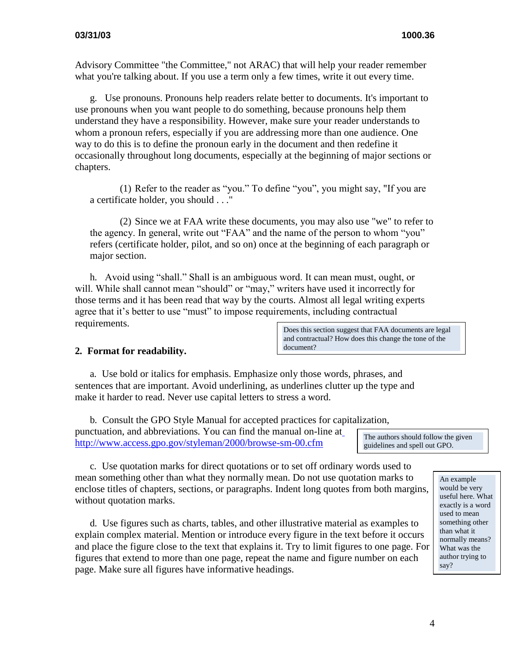Advisory Committee "the Committee," not ARAC) that will help your reader remember what you're talking about. If you use a term only a few times, write it out every time.

g. Use pronouns. Pronouns help readers relate better to documents. It's important to use pronouns when you want people to do something, because pronouns help them understand they have a responsibility. However, make sure your reader understands to whom a pronoun refers, especially if you are addressing more than one audience. One way to do this is to define the pronoun early in the document and then redefine it occasionally throughout long documents, especially at the beginning of major sections or chapters.

(1) Refer to the reader as "you." To define "you", you might say, "If you are a certificate holder, you should . . ."

(2) Since we at FAA write these documents, you may also use "we" to refer to the agency. In general, write out "FAA" and the name of the person to whom "you" refers (certificate holder, pilot, and so on) once at the beginning of each paragraph or major section.

h. Avoid using "shall." Shall is an ambiguous word. It can mean must, ought, or will. While shall cannot mean "should" or "may," writers have used it incorrectly for those terms and it has been read that way by the courts. Almost all legal writing experts agree that it's better to use "must" to impose requirements, including contractual requirements.

Does this section suggest that FAA documents are legal and contractual? How does this change the tone of the document?

#### **2. Format for readability.**

a. Use bold or italics for emphasis. Emphasize only those words, phrases, and sentences that are important. Avoid underlining, as underlines clutter up the type and make it harder to read. Never use capital letters to stress a word.

b. Consult the GPO Style Manual for accepted practices for capitalization, punctuation, and abbreviations*.* You can find the manual on-line at <http://www.access.gpo.gov/styleman/2000/browse-sm-00.cfm>

The authors should follow the given guidelines and spell out GPO.

c. Use quotation marks for direct quotations or to set off ordinary words used to mean something other than what they normally mean. Do not use quotation marks to enclose titles of chapters, sections, or paragraphs. Indent long quotes from both margins, without quotation marks.

d. Use figures such as charts, tables, and other illustrative material as examples to explain complex material. Mention or introduce every figure in the text before it occurs and place the figure close to the text that explains it. Try to limit figures to one page. For figures that extend to more than one page, repeat the name and figure number on each page. Make sure all figures have informative headings.

An example would be very useful here. What exactly is a word used to mean something other than what it normally means? What was the author trying to say?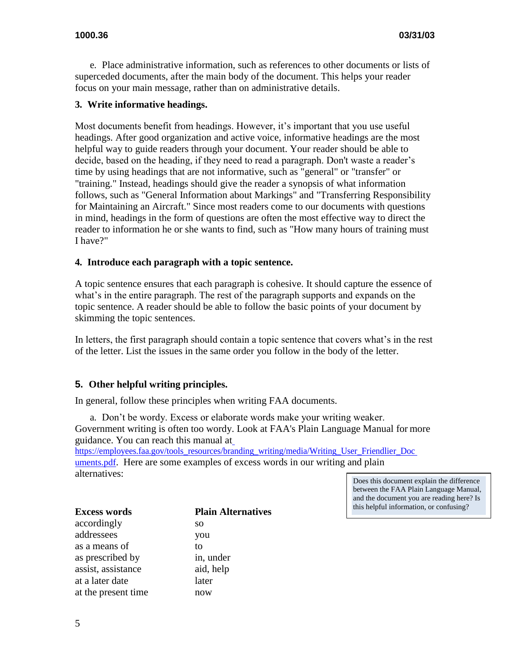e. Place administrative information, such as references to other documents or lists of superceded documents, after the main body of the document. This helps your reader focus on your main message, rather than on administrative details.

#### **3. Write informative headings.**

Most documents benefit from headings. However, it's important that you use useful headings. After good organization and active voice, informative headings are the most helpful way to guide readers through your document. Your reader should be able to decide, based on the heading, if they need to read a paragraph. Don't waste a reader's time by using headings that are not informative, such as "general" or "transfer" or "training." Instead, headings should give the reader a synopsis of what information follows, such as "General Information about Markings" and "Transferring Responsibility for Maintaining an Aircraft." Since most readers come to our documents with questions in mind, headings in the form of questions are often the most effective way to direct the reader to information he or she wants to find, such as "How many hours of training must I have?"

#### **4. Introduce each paragraph with a topic sentence.**

A topic sentence ensures that each paragraph is cohesive. It should capture the essence of what's in the entire paragraph. The rest of the paragraph supports and expands on the topic sentence. A reader should be able to follow the basic points of your document by skimming the topic sentences.

In letters, the first paragraph should contain a topic sentence that covers what's in the rest of the letter. List the issues in the same order you follow in the body of the letter.

#### **5. Other helpful writing principles.**

In general, follow these principles when writing FAA documents.

a. Don't be wordy. Excess or elaborate words make your writing weaker. Government writing is often too wordy. Look at FAA's Plain Language Manual for more guidance. You can reach this manual at

[https://employees.faa.gov/tools\\_resources/branding\\_writing/media/Writing\\_User\\_Friendlier\\_Doc](https://employees.faa.gov/tools_resources/branding_writing/media/Writing_User_Friendlier_Documents.pdf) [uments.pdf](https://employees.faa.gov/tools_resources/branding_writing/media/Writing_User_Friendlier_Documents.pdf). Here are some examples of excess words in our writing and plain alternatives:

Does this document explain the difference between the FAA Plain Language Manual, and the document you are reading here? Is this helpful information, or confusing?

| <b>Excess words</b> | <b>Plain Alternatives</b> |  |
|---------------------|---------------------------|--|
| accordingly         | <b>SO</b>                 |  |
| addressees          | you                       |  |
| as a means of       | tο                        |  |
| as prescribed by    | in, under                 |  |
| assist, assistance  | aid, help                 |  |
| at a later date     | later                     |  |
| at the present time | now                       |  |
|                     |                           |  |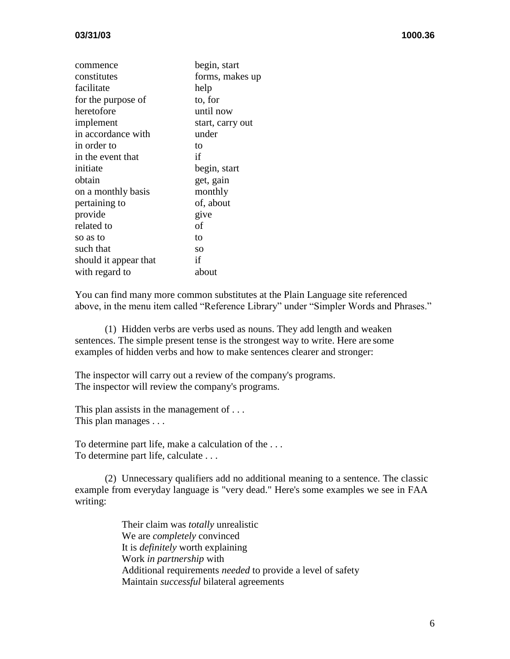| commence              | begin, start     |
|-----------------------|------------------|
| constitutes           | forms, makes up  |
| facilitate            | help             |
| for the purpose of    | to, for          |
| heretofore            | until now        |
| implement             | start, carry out |
| in accordance with    | under            |
| in order to           | to               |
| in the event that     | if               |
| initiate              | begin, start     |
| obtain                | get, gain        |
| on a monthly basis    | monthly          |
| pertaining to         | of, about        |
| provide               | give             |
| related to            | of               |
| so as to              | to               |
| such that             | SO <sub>1</sub>  |
| should it appear that | if               |
| with regard to        | about            |
|                       |                  |

You can find many more common substitutes at the Plain Language site referenced above, in the menu item called "Reference Library" under "Simpler Words and Phrases."

(1) Hidden verbs are verbs used as nouns. They add length and weaken sentences. The simple present tense is the strongest way to write. Here are some examples of hidden verbs and how to make sentences clearer and stronger:

The inspector will carry out a review of the company's programs. The inspector will review the company's programs.

This plan assists in the management of ... This plan manages . . .

To determine part life, make a calculation of the . . . To determine part life, calculate . . .

(2) Unnecessary qualifiers add no additional meaning to a sentence. The classic example from everyday language is "very dead." Here's some examples we see in FAA writing:

> Their claim was *totally* unrealistic We are *completely* convinced It is *definitely* worth explaining Work *in partnership* with Additional requirements *needed* to provide a level of safety Maintain *successful* bilateral agreements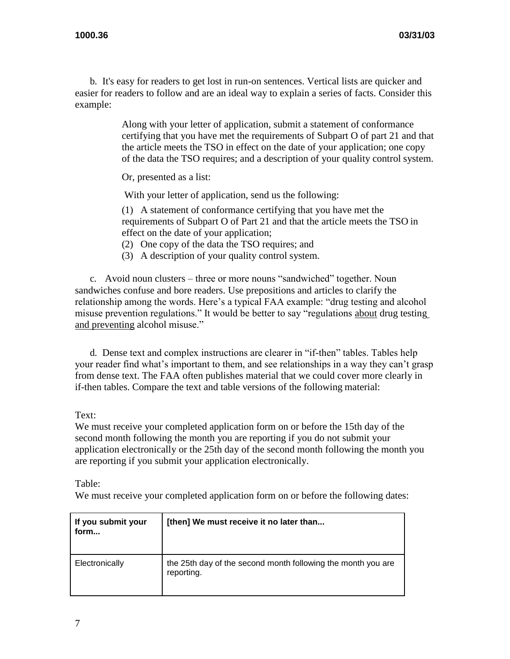b. It's easy for readers to get lost in run-on sentences. Vertical lists are quicker and easier for readers to follow and are an ideal way to explain a series of facts. Consider this example:

> Along with your letter of application, submit a statement of conformance certifying that you have met the requirements of Subpart O of part 21 and that the article meets the TSO in effect on the date of your application; one copy of the data the TSO requires; and a description of your quality control system.

Or, presented as a list:

With your letter of application, send us the following:

(1) A statement of conformance certifying that you have met the requirements of Subpart O of Part 21 and that the article meets the TSO in effect on the date of your application;

- (2) One copy of the data the TSO requires; and
- (3) A description of your quality control system.

c. Avoid noun clusters – three or more nouns "sandwiched" together. Noun sandwiches confuse and bore readers. Use prepositions and articles to clarify the relationship among the words. Here's a typical FAA example: "drug testing and alcohol misuse prevention regulations." It would be better to say "regulations about drug testing and preventing alcohol misuse."

d. Dense text and complex instructions are clearer in "if-then" tables. Tables help your reader find what's important to them, and see relationships in a way they can't grasp from dense text. The FAA often publishes material that we could cover more clearly in if-then tables. Compare the text and table versions of the following material:

#### Text:

We must receive your completed application form on or before the 15th day of the second month following the month you are reporting if you do not submit your application electronically or the 25th day of the second month following the month you are reporting if you submit your application electronically.

Table:

We must receive your completed application form on or before the following dates:

| If you submit your<br>form | [then] We must receive it no later than                                    |
|----------------------------|----------------------------------------------------------------------------|
| Electronically             | the 25th day of the second month following the month you are<br>reporting. |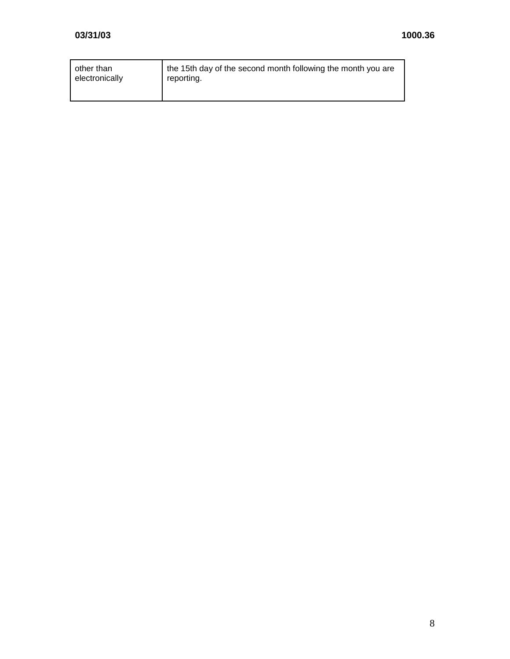| other than     | the 15th day of the second month following the month you are |
|----------------|--------------------------------------------------------------|
| electronically | reporting.                                                   |
|                |                                                              |